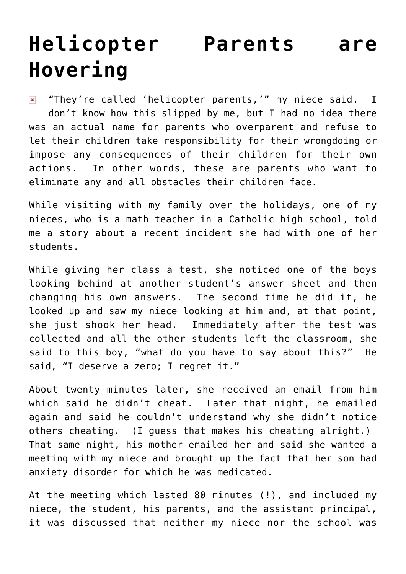## **[Helicopter Parents are](https://bernardgoldberg.com/are-helicopter-parents-doing-the-right-thing/) [Hovering](https://bernardgoldberg.com/are-helicopter-parents-doing-the-right-thing/)**

"They're called 'helicopter parents,'" my niece said. I  $\pmb{\times}$ don't know how this slipped by me, but I had no idea there was an actual name for parents who overparent and refuse to let their children take responsibility for their wrongdoing or impose any consequences of their children for their own actions. In other words, these are parents who want to eliminate any and all obstacles their children face.

While visiting with my family over the holidays, one of my nieces, who is a math teacher in a Catholic high school, told me a story about a recent incident she had with one of her students.

While giving her class a test, she noticed one of the boys looking behind at another student's answer sheet and then changing his own answers. The second time he did it, he looked up and saw my niece looking at him and, at that point, she just shook her head. Immediately after the test was collected and all the other students left the classroom, she said to this boy, "what do you have to say about this?" He said, "I deserve a zero; I regret it."

About twenty minutes later, she received an email from him which said he didn't cheat. Later that night, he emailed again and said he couldn't understand why she didn't notice others cheating. (I guess that makes his cheating alright.) That same night, his mother emailed her and said she wanted a meeting with my niece and brought up the fact that her son had anxiety disorder for which he was medicated.

At the meeting which lasted 80 minutes (!), and included my niece, the student, his parents, and the assistant principal, it was discussed that neither my niece nor the school was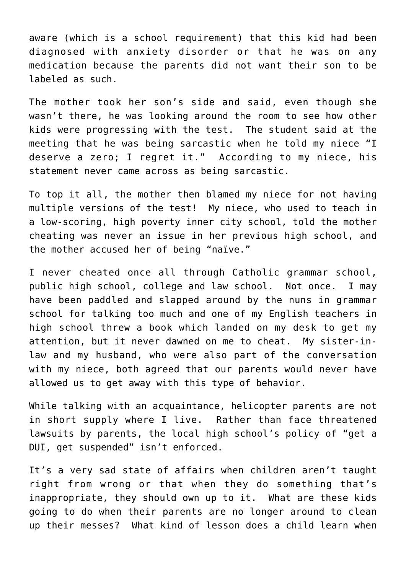aware (which is a school requirement) that this kid had been diagnosed with anxiety disorder or that he was on any medication because the parents did not want their son to be labeled as such.

The mother took her son's side and said, even though she wasn't there, he was looking around the room to see how other kids were progressing with the test. The student said at the meeting that he was being sarcastic when he told my niece "I deserve a zero; I regret it." According to my niece, his statement never came across as being sarcastic.

To top it all, the mother then blamed my niece for not having multiple versions of the test! My niece, who used to teach in a low-scoring, high poverty inner city school, told the mother cheating was never an issue in her previous high school, and the mother accused her of being "naïve."

I never cheated once all through Catholic grammar school, public high school, college and law school. Not once. I may have been paddled and slapped around by the nuns in grammar school for talking too much and one of my English teachers in high school threw a book which landed on my desk to get my attention, but it never dawned on me to cheat. My sister-inlaw and my husband, who were also part of the conversation with my niece, both agreed that our parents would never have allowed us to get away with this type of behavior.

While talking with an acquaintance, helicopter parents are not in short supply where I live. Rather than face threatened lawsuits by parents, the local high school's policy of "get a DUI, get suspended" isn't enforced.

It's a very sad state of affairs when children aren't taught right from wrong or that when they do something that's inappropriate, they should own up to it. What are these kids going to do when their parents are no longer around to clean up their messes? What kind of lesson does a child learn when